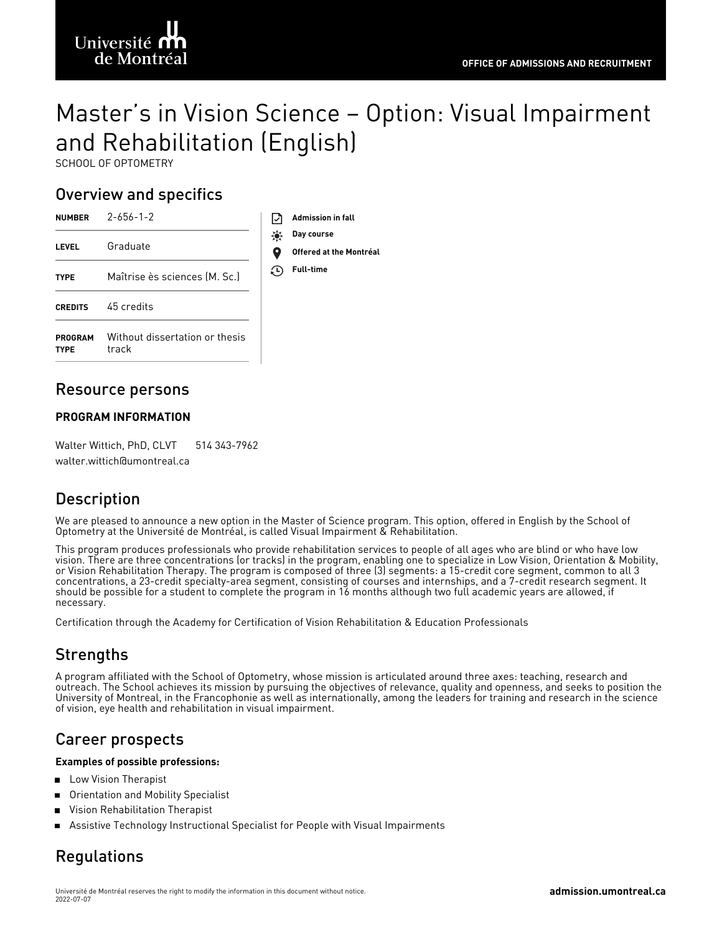# Université f de Montréa

# Master's in Vision Science – Option: Visual Impairment and Rehabilitation (English)

**Offered at the Montréal**

SCHOOL OF OPTOMETRY

# Overview and specifics

| <b>NUMBER</b>                 | $2 - 656 - 1 - 2$                       |     | <b>Admission in fall</b>        |
|-------------------------------|-----------------------------------------|-----|---------------------------------|
| <b>LEVEL</b>                  | Graduate                                | ₩   | Day course<br>Offered at the Mo |
| <b>TYPE</b>                   | Maîtrise ès sciences (M. Sc.)           | (⊔) | <b>Full-time</b>                |
| <b>CREDITS</b>                | 45 credits                              |     |                                 |
| <b>PROGRAM</b><br><b>TYPE</b> | Without dissertation or thesis<br>track |     |                                 |

### Resource persons

### **PROGRAM INFORMATION**

Walter Wittich, PhD, CLVT 514 343-7962 walter.wittich@umontreal.ca

# **Description**

We are pleased to announce a new option in the Master of Science program. This option, offered in English by the School of Optometry at the Université de Montréal, is called Visual Impairment & Rehabilitation.

This program produces professionals who provide rehabilitation services to people of all ages who are blind or who have low vision. There are three concentrations (or tracks) in the program, enabling one to specialize in Low Vision, Orientation & Mobility, or Vision Rehabilitation Therapy. The program is composed of three (3) segments: a 15-credit core segment, common to all 3 concentrations, a 23-credit specialty-area segment, consisting of courses and internships, and a 7-credit research segment. It should be possible for a student to complete the program in 16 months although two full academic years are allowed, if necessary.

Certification through the Academy for Certification of Vision [Rehabilitation](https://www.acvrep.org/) & Education Professionals

# Strengths

A program affiliated with the School of Optometry, whose mission is articulated around three axes: teaching, research and outreach. The School achieves its mission by pursuing the objectives of relevance, quality and openness, and seeks to position the University of Montreal, in the Francophonie as well as internationally, among the leaders for training and research in the science of vision, eye health and rehabilitation in visual impairment.

# Career prospects

#### **Examples of possible professions:**

- Low Vision Therapist п
- n, Orientation and Mobility Specialist
- Vision Rehabilitation Therapist
- Assistive Technology Instructional Specialist for People with Visual Impairments

# Regulations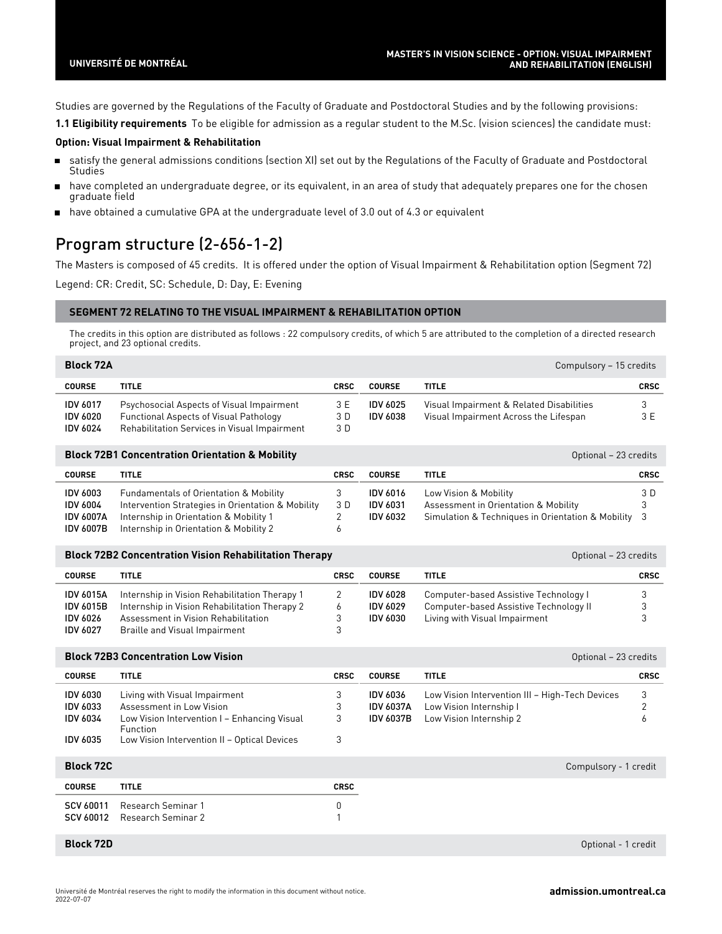Studies are governed by the Regulations of the Faculty of Graduate and Postdoctoral Studies and by the following provisions:

**1.1 Eligibility requirements** To be eligible for admission as a regular student to the M.Sc. (vision sciences) the candidate must:

#### **Option: Visual Impairment & Rehabilitation**

- satisfy the general admissions conditions (section XI) set out by the Regulations of the Faculty of Graduate and Postdoctoral  $\blacksquare$ **Studies**
- have completed an undergraduate degree, or its equivalent, in an area of study that adequately prepares one for the chosen graduate field
- have obtained a cumulative GPA at the undergraduate level of 3.0 out of 4.3 or equivalent

# Program structure (2-656-1-2)

The Masters is composed of 45 credits. It is offered under the option of Visual Impairment & Rehabilitation option (Segment 72) Legend: CR: Credit, SC: Schedule, D: Day, E: Evening

#### **SEGMENT 72 RELATING TO THE VISUAL IMPAIRMENT & REHABILITATION OPTION**

The credits in this option are distributed as follows : 22 compulsory credits, of which 5 are attributed to the completion of a directed research project, and 23 optional credits.

| <b>Block 72A</b>                                      |                                                                                                                                            |                   |                             | Compulsory - 15 credits                                                           |             |
|-------------------------------------------------------|--------------------------------------------------------------------------------------------------------------------------------------------|-------------------|-----------------------------|-----------------------------------------------------------------------------------|-------------|
| <b>COURSE</b>                                         | <b>TITLE</b>                                                                                                                               | <b>CRSC</b>       | <b>COURSE</b>               | <b>TITLE</b>                                                                      | <b>CRSC</b> |
| <b>IDV 6017</b><br><b>IDV 6020</b><br><b>IDV 6024</b> | Psychosocial Aspects of Visual Impairment<br><b>Functional Aspects of Visual Pathology</b><br>Rehabilitation Services in Visual Impairment | 3 E<br>3 D<br>3 D | IDV 6025<br><b>IDV 6038</b> | Visual Impairment & Related Disabilities<br>Visual Impairment Across the Lifespan | 3 E         |

|                  | <b>Block 72B1 Concentration Orientation &amp; Mobility</b> |             |                 | Optional - 23 credits                             |             |
|------------------|------------------------------------------------------------|-------------|-----------------|---------------------------------------------------|-------------|
| <b>COURSE</b>    | <b>TITLE</b>                                               | <b>CRSC</b> | <b>COURSE</b>   | <b>TITLE</b>                                      | <b>CRSC</b> |
| <b>IDV 6003</b>  | <b>Fundamentals of Orientation &amp; Mobility</b>          |             | <b>IDV 6016</b> | Low Vision & Mobility                             | 3 D         |
| <b>IDV 6004</b>  | Intervention Strategies in Orientation & Mobility          | 3 D         | <b>IDV 6031</b> | Assessment in Orientation & Mobility              |             |
| <b>IDV 6007A</b> | Internship in Orientation & Mobility 1                     |             | <b>IDV 6032</b> | Simulation & Techniques in Orientation & Mobility | -3          |
| IDV 6007B        | Internship in Orientation & Mobility 2                     |             |                 |                                                   |             |

|                  | <b>Block 72B2 Concentration Vision Rehabilitation Therapy</b> |              |                 |                                        | Optional - 23 credits |
|------------------|---------------------------------------------------------------|--------------|-----------------|----------------------------------------|-----------------------|
| <b>COURSE</b>    | <b>TITLE</b>                                                  | <b>CRSC</b>  | <b>COURSE</b>   | <b>TITLE</b>                           | <b>CRSC</b>           |
| <b>IDV 6015A</b> | Internship in Vision Rehabilitation Therapy 1                 |              | <b>IDV 6028</b> | Computer-based Assistive Technology I  |                       |
| <b>IDV 6015B</b> | Internship in Vision Rehabilitation Therapy 2                 | <sub>6</sub> | <b>IDV 6029</b> | Computer-based Assistive Technology II |                       |
| IDV 6026         | Assessment in Vision Rehabilitation                           |              | <b>IDV 6030</b> | Living with Visual Impairment          |                       |
| <b>IDV 6027</b>  | Braille and Visual Impairment                                 |              |                 |                                        |                       |

**COURSE TITLE CRSC IDV [6030](https://admission.umontreal.ca/en/courses-and-schedules/course/idv-6030/)** Living with Visual Impairment 3 IDV [6033](https://admission.umontreal.ca/en/courses-and-schedules/course/idv-6033/) Assessment in Low Vision 3 IDV [6034](https://admission.umontreal.ca/en/courses-and-schedules/course/idv-6034/) Low Vision Intervention I – Enhancing Visual Function 3 IDV [6035](https://admission.umontreal.ca/en/courses-and-schedules/course/idv-6035/) Low Vision Intervention II - Optical Devices 3 **COURSE TITLE CRSC** IDV [6036](https://admission.umontreal.ca/en/courses-and-schedules/course/idv-6036/) Low Vision Intervention III – High-Tech Devices 3 IDV [6037A](https://admission.umontreal.ca/en/courses-and-schedules/course/idv-6037a/) Low Vision Internship I 2 IDV [6037B](https://admission.umontreal.ca/en/courses-and-schedules/course/idv-6037b/) Low Vision Internship 2 6 **COURSE TITLE CRSC** SCV [60011](https://admission.umontreal.ca/en/courses-and-schedules/course/scv-60011/) Research Seminar 1 0 SCV [60012](https://admission.umontreal.ca/en/courses-and-schedules/course/scv-60012/) Research Seminar 2 1 **Block 72B3 Concentration Low Vision Concentration Concentration Concentration Concentration Concentration Concentration Concentration Concentration Concentration Concentration Concentration Concentra Block 72C** Compulsory - 1 credit

**Block 72D** Optional - 1 credit